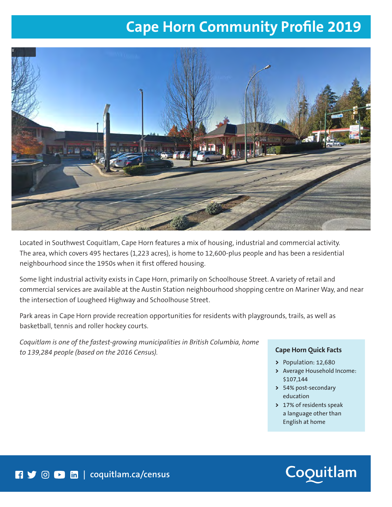## **Cape Horn Community Profile 2019**



Located in Southwest Coquitlam, Cape Horn features a mix of housing, industrial and commercial activity. The area, which covers 495 hectares (1,223 acres), is home to 12,600-plus people and has been a residential neighbourhood since the 1950s when it first offered housing.

Some light industrial activity exists in Cape Horn, primarily on Schoolhouse Street. A variety of retail and commercial services are available at the Austin Station neighbourhood shopping centre on Mariner Way, and near the intersection of Lougheed Highway and Schoolhouse Street.

Park areas in Cape Horn provide recreation opportunities for residents with playgrounds, trails, as well as basketball, tennis and roller hockey courts.

*Coquitlam is one of the fastest-growing municipalities in British Columbia, home to 139,284 people (based on the 2016 Census).* **Cape Horn Quick Facts**

- **>** Population: 12,680
- **>** Average Household Income: \$107,144
- **>** 54% post-secondary education
- **>** 17% of residents speak a language other than English at home

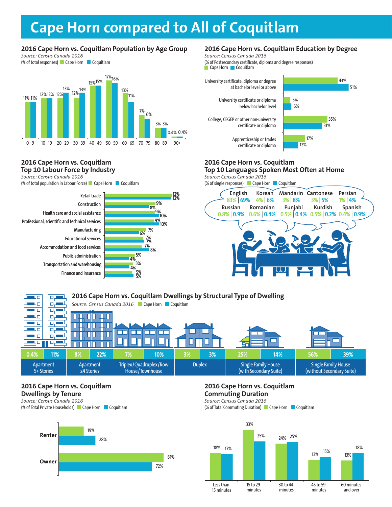# **2016 City Centre vs. Coquitlam Population by Age Group Cape Horn compared to All of Coquitlam**

8%

8%

,<br>9% 9%

10% 9% **BUSINESS**

12% 12%

### **2016 Cape Horn vs. Coquitlam Population by Age Group**

*Source: Census Canada 2016* (% of total responses) Cape Horn Coquitlam



#### **2016 Cape Horn vs. Coquitlam Top 10 Labour Force by Industry**

*Source: Census Canada 2016*

(% of total population in Labour Force) Cape Horn Coquitlam



## **2016 Cape Horn vs. Coquitlam Education by Degree**

*Source: Census Canada 2016*

(% of Postsecondary certificate, diploma and degree responses)  $\overline{\phantom{a}}$  Cape Horn  $\overline{\phantom{a}}$  Coquitlam



## **Top 10 Languages Spoken Most Often at Home BUSINESS BUSINESS**

*Source: Census Canada 2016* **BUSINESS**



**2016 Cape Horn vs. Coquitlam Dwellings by Structural Type of Dwelling**  40 للصير و 50  $\Box$ **Source: Census Canada 2016 Cape Horn Coquitlam** ۳L ЧО 口店 ЦÓ o. П 40 क Ш П П П कार 40  $\Box$  $\Box$ mг П П 40 口口 п  $\Box$ ЦΟ Π П **0.4% 11% 8% 22% 7% 10% 3% 3% 25% 14% 56% 39%** Single Family House Apartment **Apartment** Triplex/Quadruplex/Row Duplex | Single Family House 5+ Stories ≤4 Stories House/Townhouse (with Secondary Suite) (without Secondary Suite)

## **2016 Cape Horn vs. Coquitlam Dwellings by Tenure**

*Source: Census Canada 2016* (% of Total Private Households) Cape Horn Coquitlam



## **2016 Cape Horn vs. Coquitlam Commuting Duration**

*Source: Census Canada 2016* (% of Total Commuting Duration) Cape Horn Coquitlam

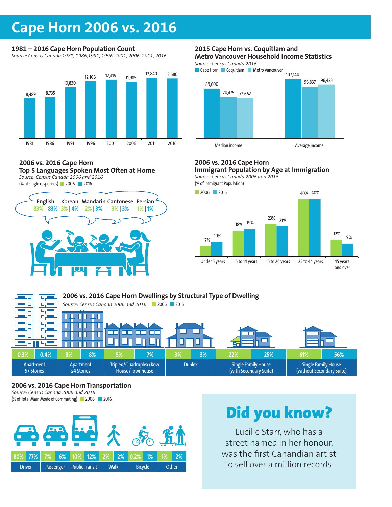## **Cape Horn 2006 vs. 2016**

## **1981 – 2016 Cape Horn Population Count**

*Source: Census Canada 1981, 1986,1991, 1996, 2001, 2006, 2011, 2016*



#### **2006 vs. 2016 Cape Horn Top 5 Languages Spoken Most Often at Home** *Source: Census Canada 2006 and 2016*





### **2015 Cape Horn vs. Coquitlam and Metro Vancouver Household Income Statistics**

*Source: Census Canada 2016*





## **2006 vs. 2016 Cape Horn**

**Immigrant Population by Age at Immigration** *Source: Census Canada 2006 and 2016* **BUSINESS**

(% of Immigrant Population)



#### **2006 vs. 2016 Cape Horn Dwellings by Structural Type of Dwelling**  ĻΦ  $\Box$ пp *Source: Census Canada 2006 and 2016* 2006 2016 цο цα بر ص ЦΠ वर П П П L ЦÓ क П П Ш U ┓ ЦΩ  $\Box$ ┰  $\Box$  $\Box$ ПE П 90  $\Box$ цο ЮJ **0.3% 0.4% 8% 8% 5% 7% 3% 3% 22% 25% 61% 56%** Apartment Apartment Triplex/Quadruplex/Row Duplex | Single Family House Single Family House 5+ Stories ≤4 Stories House/Townhouse (with Secondary Suite) (without Secondary Suite)

## **2006 vs. 2016 Cape Horn Transportation**

*Source: Census Canada 2006 and 2016* (% of Total Main Mode of Commuting) 2006 2016



# Did you know?

Lucille Starr, who has a street named in her honour, was the first Canandian artist to sell over a million records.